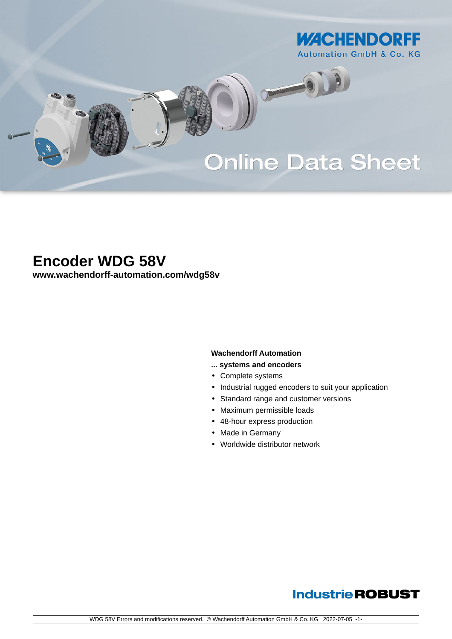

# **Online Data Sheet**

O

## **Encoder WDG 58V**

**[www.wachendorff-automation.com/wdg58v](https://www.wachendorff-automation.com/wdg58v)**

#### **Wachendorff Automation**

- **... systems and encoders**
- Complete systems
- Industrial rugged encoders to suit your application
- Standard range and customer versions
- Maximum permissible loads
- 48-hour express production
- Made in Germany
- Worldwide distributor network

## **Industrie ROBUST**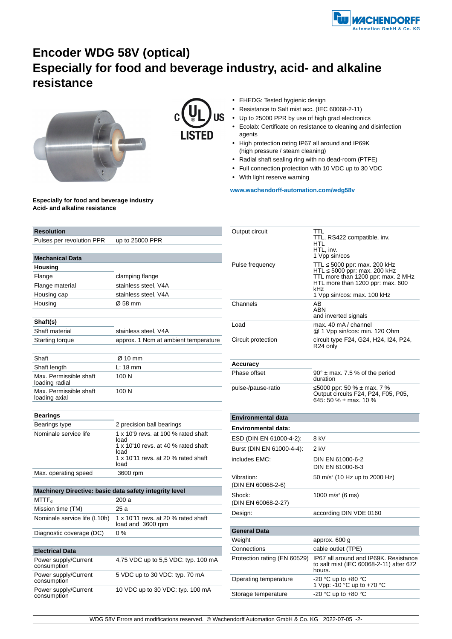

## **Encoder WDG 58V (optical) Especially for food and beverage industry, acid- and alkaline resistance**



**ISTED** 

- EHEDG: Tested hygienic design
- •Resistance to Salt mist acc. (IEC 60068-2-11)
- •Up to 25000 PPR by use of high grad electronics
- Ecolab: Certificate on resistance to cleaning and disinfection agents
- • High protection rating IP67 all around and IP69K (high pressure / steam cleaning)
- •Radial shaft sealing ring with no dead-room (PTFE)
- Full connection protection with 10 VDC up to 30 VDC
- •With light reserve warning

**[www.wachendorff-automation.com/wdg58v](https://www.wachendorff-automation.com/wdg58v)**

**Especially for food and beverage industry Acid- and alkaline resistance**

#### **Resolution**

Pulses per revolution PPR up to 25000 PPR

|  | Mechanical Data |  |
|--|-----------------|--|

| שישע ושטווועטוויט                        |                                      |
|------------------------------------------|--------------------------------------|
| <b>Housing</b>                           |                                      |
| Flange                                   | clamping flange                      |
| Flange material                          | stainless steel, V4A                 |
| Housing cap                              | stainless steel, V4A                 |
| Housing                                  | Ø 58 mm                              |
|                                          |                                      |
| Shaft(s)                                 |                                      |
| Shaft material                           | stainless steel. V4A                 |
| Starting torque                          | approx. 1 Ncm at ambient temperature |
|                                          |                                      |
| Shaft                                    | $\varnothing$ 10 mm                  |
| Shaft length                             | $L:18$ mm                            |
| Max. Permissible shaft<br>loading radial | 100 N                                |
| Max. Permissible shaft<br>loading axial  | 100 N                                |

#### **Bearings**

| Bearings type         | 2 precision ball bearings                                                                                                                 |
|-----------------------|-------------------------------------------------------------------------------------------------------------------------------------------|
| Nominale service life | 1 x 10'9 revs. at 100 % rated shaft<br>load<br>1 x 10'10 revs. at 40 % rated shaft<br>load<br>1 x 10'11 revs. at 20 % rated shaft<br>load |
| Max. operating speed  | 3600 rpm                                                                                                                                  |

| Machinery Directive: basic data safety integrity level |                                                          |  |  |  |  |  |  |  |  |
|--------------------------------------------------------|----------------------------------------------------------|--|--|--|--|--|--|--|--|
| <b>MTTF</b> <sub>d</sub>                               | 200a                                                     |  |  |  |  |  |  |  |  |
| Mission time (TM)                                      | 25 a                                                     |  |  |  |  |  |  |  |  |
| Nominale service life (L10h)                           | 1 x 10'11 revs. at 20 % rated shaft<br>load and 3600 rpm |  |  |  |  |  |  |  |  |
| Diagnostic coverage (DC)                               | $0\%$                                                    |  |  |  |  |  |  |  |  |
|                                                        |                                                          |  |  |  |  |  |  |  |  |
| <b>Electrical Data</b>                                 |                                                          |  |  |  |  |  |  |  |  |
| Power supply/Current<br>consumption                    | 4,75 VDC up to 5,5 VDC: typ. 100 mA                      |  |  |  |  |  |  |  |  |
| Power supply/Current<br>consumption                    | 5 VDC up to 30 VDC: typ. 70 mA                           |  |  |  |  |  |  |  |  |
| Power supply/Current<br>consumption                    | 10 VDC up to 30 VDC: typ. 100 mA                         |  |  |  |  |  |  |  |  |

| Output circuit                   | TTL<br>TTL, RS422 compatible, inv.<br>HTL<br>HTL, inv.<br>1 Vpp sin/cos                                                                                                     |
|----------------------------------|-----------------------------------------------------------------------------------------------------------------------------------------------------------------------------|
| Pulse frequency                  | TTL<br>5000 ppr: max. 200 kHz<br>HTL 5000 ppr: max. 200 kHz<br>TTL more than 1200 ppr: max. 2 MHz<br>HTL more than 1200 ppr: max. 600<br>kHz<br>1 Vpp sin/cos: max. 100 kHz |
| Channels                         | AB<br>ABN<br>and inverted signals                                                                                                                                           |
| Load                             | max. 40 mA / channel<br>@ 1 Vpp sin/cos: min. 120 Ohm                                                                                                                       |
| Circuit protection               | circuit type F24, G24, H24, I24, P24,<br>R24 only                                                                                                                           |
| Accuracy                         |                                                                                                                                                                             |
| Phase offset                     | $90^\circ$ ± max. 7.5 % of the period<br>duration                                                                                                                           |
| pulse-/pause-ratio               | 5000 ppr: 50 $%$ ± max. 7 $%$<br>Output circuits F24, P24, F05, P05,<br>645: 50 % $\pm$ max. 10 %                                                                           |
| <b>Environmental data</b>        |                                                                                                                                                                             |
| Environmental data:              |                                                                                                                                                                             |
| ESD (DIN EN 61000-4-2):          | 8 kV                                                                                                                                                                        |
| Burst (DIN EN 61000-4-4):        | 2 kV                                                                                                                                                                        |
| includes EMC:                    | DIN EN 61000-6-2<br>DIN EN 61000-6-3                                                                                                                                        |
| Vibration:<br>(DIN EN 60068-2-6) | 50 m/s <sup>2</sup> (10 Hz up to 2000 Hz)                                                                                                                                   |
| Shock:<br>(DIN EN 60068-2-27)    | 1000 m/s <sup>2</sup> (6 ms)                                                                                                                                                |
| Design:                          | according DIN VDE 0160                                                                                                                                                      |
| General Data                     |                                                                                                                                                                             |
| Weight                           | approx. 600 g                                                                                                                                                               |
| Connections                      | cable outlet (TPE)                                                                                                                                                          |
| Protection rating (EN 60529)     | IP67 all around and IP69K. Resistance<br>to salt mist (IEC 60068-2-11) after 672<br>hours.                                                                                  |
| Operating temperature            | -20 °C up to +80 °C<br>1 Vpp: -10 °C up to +70 °C                                                                                                                           |
| Storage temperature              | -20 °C up to $+80$ °C                                                                                                                                                       |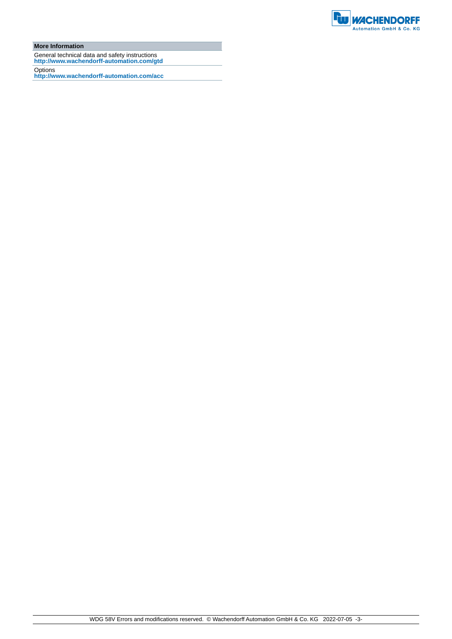

**More Information**

General technical data and safety instructions **http://www.wachendorff-automation.com/gtd**

Options **http://www.wachendorff-automation.com/acc**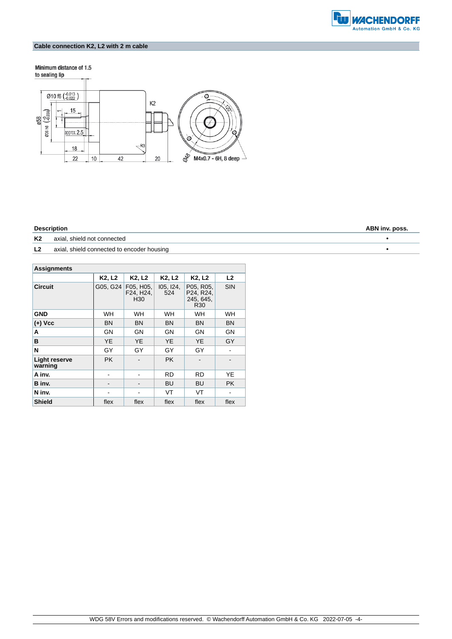

### **Cable connection K2, L2 with 2 m cable**

#### Minimum distance of 1.5



|                | <b>Description</b>                         |  |  |  |
|----------------|--------------------------------------------|--|--|--|
| K2             | axial, shield not connected                |  |  |  |
| L <sub>2</sub> | axial, shield connected to encoder housing |  |  |  |

| <b>Assignments</b>       |           |                                                      |                  |                                                        |            |  |  |
|--------------------------|-----------|------------------------------------------------------|------------------|--------------------------------------------------------|------------|--|--|
|                          | K2, L2    | K2, L2                                               | K2, L2           | K2, L2                                                 | L2         |  |  |
| <b>Circuit</b>           |           | G05, G24   F05, H05,<br>F24, H24,<br>H <sub>30</sub> | 105, 124,<br>524 | P05, R05,<br>P24, R24,<br>245, 645,<br>R <sub>30</sub> | <b>SIN</b> |  |  |
| <b>GND</b>               | <b>WH</b> | <b>WH</b>                                            | <b>WH</b>        | <b>WH</b>                                              | <b>WH</b>  |  |  |
| $(+)$ Vcc                | <b>BN</b> | <b>BN</b>                                            | <b>BN</b>        | <b>BN</b>                                              | <b>BN</b>  |  |  |
| А                        | GN        | GN                                                   | GN               | GN                                                     | <b>GN</b>  |  |  |
| B                        | <b>YE</b> | <b>YE</b>                                            | YE               | <b>YE</b>                                              | GY         |  |  |
| N                        | GY        | GY                                                   | GY               | GY                                                     |            |  |  |
| Light reserve<br>warning | <b>PK</b> |                                                      | <b>PK</b>        |                                                        |            |  |  |
| A inv.                   | -         |                                                      | RD               | <b>RD</b>                                              | <b>YE</b>  |  |  |
| B inv.                   | -         |                                                      | BU               | <b>BU</b>                                              | PK.        |  |  |
| N inv.                   |           |                                                      | VT               | VT                                                     |            |  |  |
| <b>Shield</b>            | flex      | flex                                                 | flex             | flex                                                   | flex       |  |  |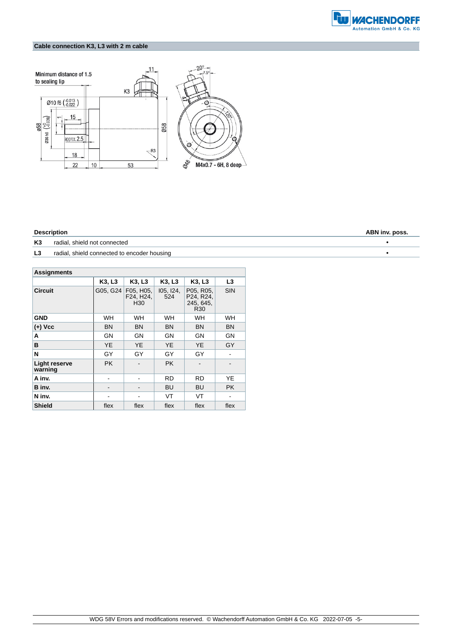

#### **Cable connection K3, L3 with 2 m cable**



#### **Description ABN inv. poss.**

|  | K3 radial, shield not connected |  |
|--|---------------------------------|--|
|  |                                 |  |

**L3** radial, shield connected to encoder housing •

| <b>Assignments</b>       |           |                                           |                  |                                                        |                |  |  |
|--------------------------|-----------|-------------------------------------------|------------------|--------------------------------------------------------|----------------|--|--|
|                          | K3, L3    | K3, L3                                    | K3, L3           | K3, L3                                                 | L <sub>3</sub> |  |  |
| <b>Circuit</b>           | G05, G24  | F05, H05,<br>F24, H24,<br>H <sub>30</sub> | 105, 124,<br>524 | P05, R05,<br>P24, R24,<br>245, 645,<br>R <sub>30</sub> | <b>SIN</b>     |  |  |
| <b>GND</b>               | WH        | <b>WH</b>                                 | <b>WH</b>        | <b>WH</b>                                              | <b>WH</b>      |  |  |
| $(+)$ Vcc                | <b>BN</b> | <b>BN</b>                                 | <b>BN</b>        | <b>BN</b>                                              | <b>BN</b>      |  |  |
| А                        | GN        | GN                                        | GN               | GN                                                     | GN             |  |  |
| в                        | <b>YE</b> | <b>YE</b>                                 | YE               | <b>YE</b>                                              | GY             |  |  |
| N                        | GY        | GY                                        | GY               | GY                                                     |                |  |  |
| Light reserve<br>warning | <b>PK</b> |                                           | <b>PK</b>        |                                                        |                |  |  |
| A inv.                   | ۰         |                                           | RD               | <b>RD</b>                                              | <b>YE</b>      |  |  |
| B inv.                   |           |                                           | BU               | <b>BU</b>                                              | PK.            |  |  |
| N inv.                   |           |                                           | VT               | VT                                                     |                |  |  |
| <b>Shield</b>            | flex      | flex                                      | flex             | flex                                                   | flex           |  |  |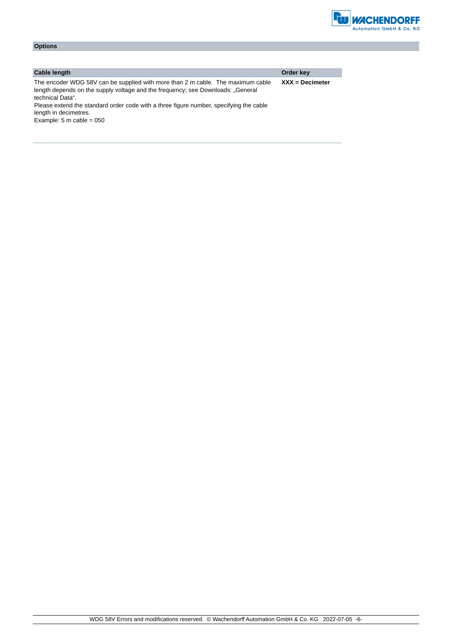

#### **Cable length Order key** The encoder WDG 58V can be supplied with more than 2 m cable. The maximum cable length depends on the supply voltage and the frequency; see Downloads: "General technical Data". Please extend the standard order code with a three figure number, specifying the cable length in decimetres. Example:  $5 \text{ m}$  cable = 050 **XXX = Decimeter**

**Options**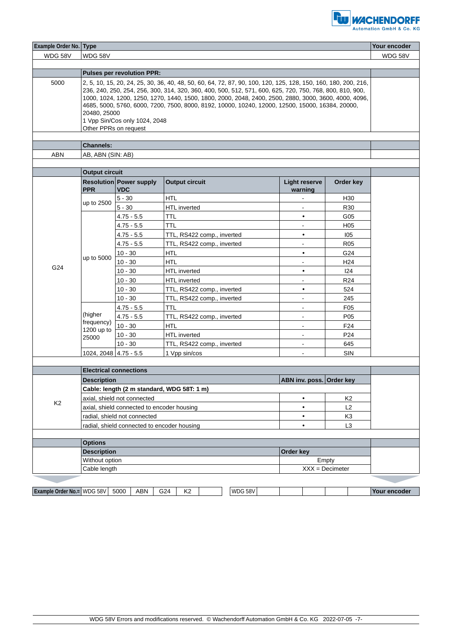

| <b>Automation GmbH &amp; Co. K</b> |  |  |
|------------------------------------|--|--|
|                                    |  |  |
|                                    |  |  |

| <b>Example Order No. Type</b> |                                                                                                                                                                                                                                                                                                                                                                                                                                                                                                                   |                                              |     |                            |  |         |                                 |                   |                 | Your encoder |
|-------------------------------|-------------------------------------------------------------------------------------------------------------------------------------------------------------------------------------------------------------------------------------------------------------------------------------------------------------------------------------------------------------------------------------------------------------------------------------------------------------------------------------------------------------------|----------------------------------------------|-----|----------------------------|--|---------|---------------------------------|-------------------|-----------------|--------------|
| WDG 58V                       | WDG 58V                                                                                                                                                                                                                                                                                                                                                                                                                                                                                                           |                                              |     |                            |  |         |                                 |                   |                 | WDG 58V      |
|                               |                                                                                                                                                                                                                                                                                                                                                                                                                                                                                                                   |                                              |     |                            |  |         |                                 |                   |                 |              |
|                               |                                                                                                                                                                                                                                                                                                                                                                                                                                                                                                                   | <b>Pulses per revolution PPR:</b>            |     |                            |  |         |                                 |                   |                 |              |
| 5000                          | 2, 5, 10, 15, 20, 24, 25, 30, 36, 40, 48, 50, 60, 64, 72, 87, 90, 100, 120, 125, 128, 150, 160, 180, 200, 216,<br>236, 240, 250, 254, 256, 300, 314, 320, 360, 400, 500, 512, 571, 600, 625, 720, 750, 768, 800, 810, 900,<br>1000, 1024, 1200, 1250, 1270, 1440, 1500, 1800, 2000, 2048, 2400, 2500, 2880, 3000, 3600, 4000, 4096,<br>4685, 5000, 5760, 6000, 7200, 7500, 8000, 8192, 10000, 10240, 12000, 12500, 15000, 16384, 20000,<br>20480, 25000<br>1 Vpp Sin/Cos only 1024, 2048<br>Other PPRs on request |                                              |     |                            |  |         |                                 |                   |                 |              |
|                               |                                                                                                                                                                                                                                                                                                                                                                                                                                                                                                                   |                                              |     |                            |  |         |                                 |                   |                 |              |
|                               | <b>Channels:</b>                                                                                                                                                                                                                                                                                                                                                                                                                                                                                                  |                                              |     |                            |  |         |                                 |                   |                 |              |
| <b>ABN</b>                    | AB, ABN (SIN: AB)                                                                                                                                                                                                                                                                                                                                                                                                                                                                                                 |                                              |     |                            |  |         |                                 |                   |                 |              |
|                               |                                                                                                                                                                                                                                                                                                                                                                                                                                                                                                                   |                                              |     |                            |  |         |                                 |                   |                 |              |
|                               | <b>Output circuit</b>                                                                                                                                                                                                                                                                                                                                                                                                                                                                                             |                                              |     |                            |  |         |                                 |                   |                 |              |
|                               | <b>PPR</b>                                                                                                                                                                                                                                                                                                                                                                                                                                                                                                        | <b>Resolution Power supply</b><br><b>VDC</b> |     | <b>Output circuit</b>      |  |         | <b>Light reserve</b><br>warning |                   | Order key       |              |
|                               |                                                                                                                                                                                                                                                                                                                                                                                                                                                                                                                   | $5 - 30$                                     |     | HTL                        |  |         |                                 |                   | H30             |              |
|                               | up to 2500                                                                                                                                                                                                                                                                                                                                                                                                                                                                                                        | $5 - 30$                                     |     | HTL inverted               |  |         |                                 |                   | R <sub>30</sub> |              |
|                               |                                                                                                                                                                                                                                                                                                                                                                                                                                                                                                                   | $4.75 - 5.5$                                 |     | TTL                        |  |         | $\bullet$                       |                   | G05             |              |
|                               |                                                                                                                                                                                                                                                                                                                                                                                                                                                                                                                   | $4.75 - 5.5$                                 |     | TTL                        |  |         | ÷                               |                   | H <sub>05</sub> |              |
|                               |                                                                                                                                                                                                                                                                                                                                                                                                                                                                                                                   | $4.75 - 5.5$                                 |     | TTL, RS422 comp., inverted |  |         | $\bullet$                       |                   | 105             |              |
|                               |                                                                                                                                                                                                                                                                                                                                                                                                                                                                                                                   | $4.75 - 5.5$                                 |     | TTL, RS422 comp., inverted |  |         | $\blacksquare$                  |                   | R <sub>05</sub> |              |
|                               |                                                                                                                                                                                                                                                                                                                                                                                                                                                                                                                   | $10 - 30$                                    |     | HTL                        |  |         | $\bullet$                       |                   | G24             |              |
|                               | up to 5000                                                                                                                                                                                                                                                                                                                                                                                                                                                                                                        | $10 - 30$                                    |     | <b>HTL</b>                 |  |         | $\blacksquare$                  |                   | H <sub>24</sub> |              |
| G24                           |                                                                                                                                                                                                                                                                                                                                                                                                                                                                                                                   | $10 - 30$                                    |     | HTL inverted               |  |         | $\bullet$                       |                   | 124             |              |
|                               |                                                                                                                                                                                                                                                                                                                                                                                                                                                                                                                   | $10 - 30$                                    |     | HTL inverted               |  |         | $\sim$                          |                   | R <sub>24</sub> |              |
|                               |                                                                                                                                                                                                                                                                                                                                                                                                                                                                                                                   | $10 - 30$                                    |     | TTL, RS422 comp., inverted |  |         | $\bullet$                       |                   | 524             |              |
|                               |                                                                                                                                                                                                                                                                                                                                                                                                                                                                                                                   | $10 - 30$                                    |     | TTL, RS422 comp., inverted |  |         | $\blacksquare$                  |                   | 245             |              |
|                               | (higher                                                                                                                                                                                                                                                                                                                                                                                                                                                                                                           | $4.75 - 5.5$                                 |     | TTL                        |  |         | $\blacksquare$                  |                   | F <sub>05</sub> |              |
|                               |                                                                                                                                                                                                                                                                                                                                                                                                                                                                                                                   | $4.75 - 5.5$                                 |     | TTL, RS422 comp., inverted |  |         | $\blacksquare$                  |                   | P <sub>05</sub> |              |
|                               | frequency)                                                                                                                                                                                                                                                                                                                                                                                                                                                                                                        | $10 - 30$                                    |     | <b>HTL</b>                 |  |         | $\blacksquare$                  |                   | F <sub>24</sub> |              |
|                               | 1200 up to<br>25000                                                                                                                                                                                                                                                                                                                                                                                                                                                                                               | $10 - 30$                                    |     | <b>HTL</b> inverted        |  |         | $\blacksquare$                  |                   | P <sub>24</sub> |              |
|                               |                                                                                                                                                                                                                                                                                                                                                                                                                                                                                                                   | $10 - 30$                                    |     | TTL, RS422 comp., inverted |  |         | $\blacksquare$                  |                   | 645             |              |
|                               | 1024, 2048 4.75 - 5.5                                                                                                                                                                                                                                                                                                                                                                                                                                                                                             |                                              |     | 1 Vpp sin/cos              |  |         |                                 |                   | <b>SIN</b>      |              |
|                               |                                                                                                                                                                                                                                                                                                                                                                                                                                                                                                                   |                                              |     |                            |  |         |                                 |                   |                 |              |
|                               |                                                                                                                                                                                                                                                                                                                                                                                                                                                                                                                   | <b>Electrical connections</b>                |     |                            |  |         |                                 |                   |                 |              |
|                               | <b>Description</b>                                                                                                                                                                                                                                                                                                                                                                                                                                                                                                |                                              |     |                            |  |         | ABN inv. poss. Order key        |                   |                 |              |
|                               |                                                                                                                                                                                                                                                                                                                                                                                                                                                                                                                   | Cable: length (2 m standard, WDG 58T: 1 m)   |     |                            |  |         |                                 |                   |                 |              |
|                               |                                                                                                                                                                                                                                                                                                                                                                                                                                                                                                                   | axial, shield not connected                  |     |                            |  |         | $\bullet$                       |                   | K <sub>2</sub>  |              |
| K <sub>2</sub>                | axial, shield connected to encoder housing<br>$\bullet$                                                                                                                                                                                                                                                                                                                                                                                                                                                           |                                              |     |                            |  |         |                                 | L2                |                 |              |
|                               | K <sub>3</sub><br>radial, shield not connected<br>$\bullet$                                                                                                                                                                                                                                                                                                                                                                                                                                                       |                                              |     |                            |  |         |                                 |                   |                 |              |
|                               | L <sub>3</sub><br>radial, shield connected to encoder housing<br>$\bullet$                                                                                                                                                                                                                                                                                                                                                                                                                                        |                                              |     |                            |  |         |                                 |                   |                 |              |
|                               |                                                                                                                                                                                                                                                                                                                                                                                                                                                                                                                   |                                              |     |                            |  |         |                                 |                   |                 |              |
|                               | <b>Options</b>                                                                                                                                                                                                                                                                                                                                                                                                                                                                                                    |                                              |     |                            |  |         |                                 |                   |                 |              |
|                               | <b>Description</b>                                                                                                                                                                                                                                                                                                                                                                                                                                                                                                |                                              |     |                            |  |         | Order key                       |                   |                 |              |
|                               | Without option                                                                                                                                                                                                                                                                                                                                                                                                                                                                                                    |                                              |     |                            |  |         |                                 | Empty             |                 |              |
|                               | Cable length                                                                                                                                                                                                                                                                                                                                                                                                                                                                                                      |                                              |     |                            |  |         |                                 | $XXX = Decimeter$ |                 |              |
|                               |                                                                                                                                                                                                                                                                                                                                                                                                                                                                                                                   |                                              |     |                            |  |         |                                 |                   |                 |              |
| Example Order No.= WDG 58V    |                                                                                                                                                                                                                                                                                                                                                                                                                                                                                                                   | 5000<br><b>ABN</b>                           | G24 | K <sub>2</sub>             |  | WDG 58V |                                 |                   |                 | Your encoder |
|                               |                                                                                                                                                                                                                                                                                                                                                                                                                                                                                                                   |                                              |     |                            |  |         |                                 |                   |                 |              |